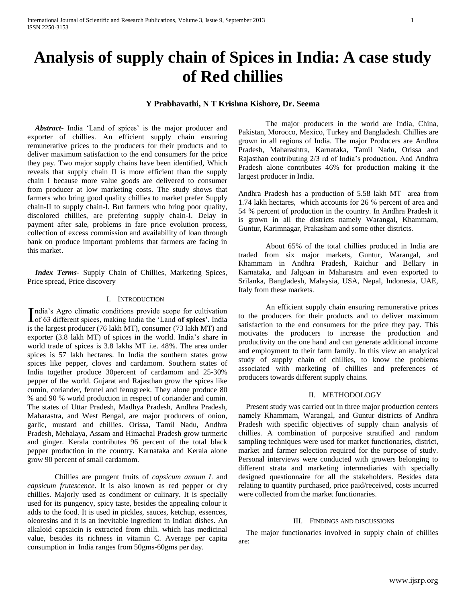# **Analysis of supply chain of Spices in India: A case study of Red chillies**

## **Y Prabhavathi, N T Krishna Kishore, Dr. Seema**

 *Abstract***-** India 'Land of spices' is the major producer and exporter of chillies. An efficient supply chain ensuring remunerative prices to the producers for their products and to deliver maximum satisfaction to the end consumers for the price they pay. Two major supply chains have been identified, Which reveals that supply chain II is more efficient than the supply chain I because more value goods are delivered to consumer from producer at low marketing costs. The study shows that farmers who bring good quality chillies to market prefer Supply chain-II to supply chain-I. But farmers who bring poor quality, discolored chillies, are preferring supply chain-I. Delay in payment after sale, problems in fare price evolution process, collection of excess commission and availability of loan through bank on produce important problems that farmers are facing in this market.

 *Index Terms*- Supply Chain of Chillies, Marketing Spices, Price spread, Price discovery

#### I. INTRODUCTION

ndia's Agro climatic conditions provide scope for cultivation India's Agro climatic conditions provide scope for cultivation<br>of 63 different spices, making India the 'Land **of spices'**. India is the largest producer (76 lakh MT), consumer (73 lakh MT) and exporter (3.8 lakh MT) of spices in the world. India's share in world trade of spices is 3.8 lakhs MT i.e. 48%. The area under spices is 57 lakh hectares. In India the southern states grow spices like pepper, cloves and cardamom. Southern states of India together produce 30percent of cardamom and 25-30% pepper of the world. Gujarat and Rajasthan grow the spices like cumin, coriander, fennel and fenugreek. They alone produce 80 % and 90 % world production in respect of coriander and cumin. The states of Uttar Pradesh, Madhya Pradesh, Andhra Pradesh, Maharastra, and West Bengal, are major producers of onion, garlic, mustard and chillies. Orissa, Tamil Nadu, Andhra Pradesh, Mehalaya, Assam and Himachal Pradesh grow turmeric and ginger. Kerala contributes 96 percent of the total black pepper production in the country. Karnataka and Kerala alone grow 90 percent of small cardamom.

Chillies are pungent fruits of *capsicum annum L* and *capsicum frutescence*. It is also known as red pepper or dry chillies. Majorly used as condiment or culinary. It is specially used for its pungency, spicy taste, besides the appealing colour it adds to the food. It is used in pickles, sauces, ketchup, essences, oleoresins and it is an inevitable ingredient in Indian dishes. An alkaloid capsaicin is extracted from chili. which has medicinal value, besides its richness in vitamin C. Average per capita consumption in India ranges from 50gms-60gms per day.

The major producers in the world are India, China, Pakistan, Morocco, Mexico, Turkey and Bangladesh. Chillies are grown in all regions of India. The major Producers are Andhra Pradesh, Maharashtra, Karnataka, Tamil Nadu, Orissa and Rajasthan contributing 2/3 rd of India's production. And Andhra Pradesh alone contributes 46% for production making it the largest producer in India.

Andhra Pradesh has a production of 5.58 lakh MT area from 1.74 lakh hectares, which accounts for 26 % percent of area and 54 % percent of production in the country. In Andhra Pradesh it is grown in all the districts namely Warangal, Khammam, Guntur, Karimnagar, Prakasham and some other districts.

About 65% of the total chillies produced in India are traded from six major markets, Guntur, Warangal, and Khammam in Andhra Pradesh, Raichur and Bellary in Karnataka, and Jalgoan in Maharastra and even exported to Srilanka, Bangladesh, Malaysia, USA, Nepal, Indonesia, UAE, Italy from these markets.

An efficient supply chain ensuring remunerative prices to the producers for their products and to deliver maximum satisfaction to the end consumers for the price they pay. This motivates the producers to increase the production and productivity on the one hand and can generate additional income and employment to their farm family. In this view an analytical study of supply chain of chillies, to know the problems associated with marketing of chillies and preferences of producers towards different supply chains.

#### II. METHODOLOGY

 Present study was carried out in three major production centers namely Khammam, Warangal, and Guntur districts of Andhra Pradesh with specific objectives of supply chain analysis of chillies. A combination of purposive stratified and random sampling techniques were used for market functionaries, district, market and farmer selection required for the purpose of study. Personal interviews were conducted with growers belonging to different strata and marketing intermediaries with specially designed questionnaire for all the stakeholders. Besides data relating to quantity purchased, price paid/received, costs incurred were collected from the market functionaries.

#### III. FINDINGS AND DISCUSSIONS

 The major functionaries involved in supply chain of chillies are: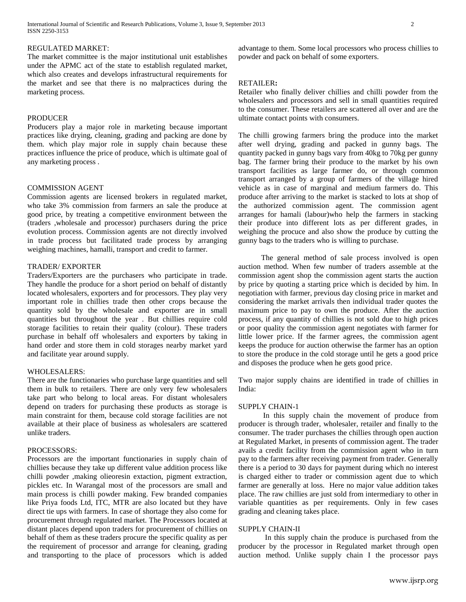#### REGULATED MARKET:

The market committee is the major institutional unit establishes under the APMC act of the state to establish regulated market, which also creates and develops infrastructural requirements for the market and see that there is no malpractices during the marketing process.

#### PRODUCER

Producers play a major role in marketing because important practices like drying, cleaning, grading and packing are done by them. which play major role in supply chain because these practices influence the price of produce, which is ultimate goal of any marketing process .

#### COMMISSION AGENT

Commission agents are licensed brokers in regulated market, who take 3% commission from farmers an sale the produce at good price, by treating a competitive environment between the (traders ,wholesale and processor) purchasers during the price evolution process. Commission agents are not directly involved in trade process but facilitated trade process by arranging weighing machines, hamalli, transport and credit to farmer.

#### TRADER/ EXPORTER

Traders/Exporters are the purchasers who participate in trade. They handle the produce for a short period on behalf of distantly located wholesalers, exporters and for processors. They play very important role in chillies trade then other crops because the quantity sold by the wholesale and exporter are in small quantities but throughout the year . But chillies require cold storage facilities to retain their quality (colour). These traders purchase in behalf off wholesalers and exporters by taking in hand order and store them in cold storages nearby market yard and facilitate year around supply.

## WHOLESALERS:

There are the functionaries who purchase large quantities and sell them in bulk to retailers. There are only very few wholesalers take part who belong to local areas. For distant wholesalers depend on traders for purchasing these products as storage is main constraint for them, because cold storage facilities are not available at their place of business as wholesalers are scattered unlike traders.

#### PROCESSORS:

Processors are the important functionaries in supply chain of chillies because they take up different value addition process like chilli powder ,making olieoresin extaction, pigment extraction, pickles etc. In Warangal most of the processors are small and main process is chilli powder making. Few branded companies like Priya foods Ltd, ITC, MTR are also located but they have direct tie ups with farmers. In case of shortage they also come for procurement through regulated market. The Processors located at distant places depend upon traders for procurement of chillies on behalf of them as these traders procure the specific quality as per the requirement of processor and arrange for cleaning, grading and transporting to the place of processors which is added advantage to them. Some local processors who process chillies to powder and pack on behalf of some exporters.

#### RETAILER**:**

Retailer who finally deliver chillies and chilli powder from the wholesalers and processors and sell in small quantities required to the consumer. These retailers are scattered all over and are the ultimate contact points with consumers.

The chilli growing farmers bring the produce into the market after well drying, grading and packed in gunny bags. The quantity packed in gunny bags vary from 40kg to 70kg per gunny bag. The farmer bring their produce to the market by his own transport facilities as large farmer do, or through common transport arranged by a group of farmers of the village hired vehicle as in case of marginal and medium farmers do. This produce after arriving to the market is stacked to lots at shop of the authorized commission agent. The commission agent arranges for hamali (labour)who help the farmers in stacking their produce into different lots as per different grades, in weighing the procuce and also show the produce by cutting the gunny bags to the traders who is willing to purchase.

 The general method of sale process involved is open auction method. When few number of traders assemble at the commission agent shop the commission agent starts the auction by price by quoting a starting price which is decided by him. In negotiation with farmer, previous day closing price in market and considering the market arrivals then individual trader quotes the maximum price to pay to own the produce. After the auction process, if any quantity of chillies is not sold due to high prices or poor quality the commission agent negotiates with farmer for little lower price. If the farmer agrees, the commission agent keeps the produce for auction otherwise the farmer has an option to store the produce in the cold storage until he gets a good price and disposes the produce when he gets good price.

Two major supply chains are identified in trade of chillies in India:

#### SUPPLY CHAIN-1

 In this supply chain the movement of produce from producer is through trader, wholesaler, retailer and finally to the consumer. The trader purchases the chillies through open auction at Regulated Market, in presents of commission agent. The trader avails a credit facility from the commission agent who in turn pay to the farmers after receiving payment from trader. Generally there is a period to 30 days for payment during which no interest is charged either to trader or commission agent due to which farmer are generally at loss. Here no major value addition takes place. The raw chillies are just sold from intermediary to other in variable quantities as per requirements. Only in few cases grading and cleaning takes place.

#### SUPPLY CHAIN-II

 In this supply chain the produce is purchased from the producer by the processor in Regulated market through open auction method. Unlike supply chain I the processor pays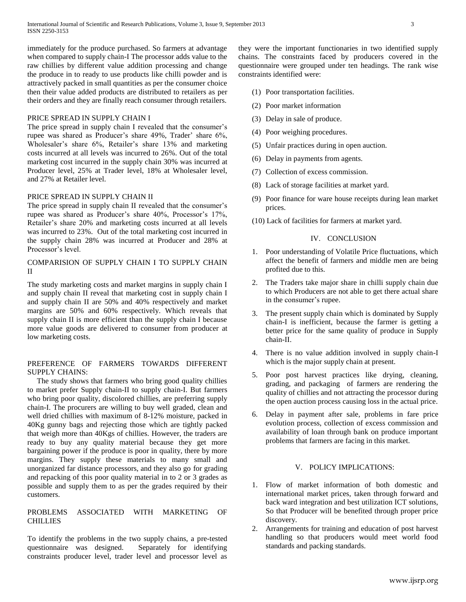immediately for the produce purchased. So farmers at advantage when compared to supply chain-I The processor adds value to the raw chillies by different value addition processing and change the produce in to ready to use products like chilli powder and is attractively packed in small quantities as per the consumer choice then their value added products are distributed to retailers as per their orders and they are finally reach consumer through retailers.

### PRICE SPREAD IN SUPPLY CHAIN I

The price spread in supply chain I revealed that the consumer's rupee was shared as Producer's share 49%, Trader' share 6%, Wholesaler's share 6%, Retailer's share 13% and marketing costs incurred at all levels was incurred to 26%. Out of the total marketing cost incurred in the supply chain 30% was incurred at Producer level, 25% at Trader level, 18% at Wholesaler level, and 27% at Retailer level.

## PRICE SPREAD IN SUPPLY CHAIN II

The price spread in supply chain II revealed that the consumer's rupee was shared as Producer's share 40%, Processor's 17%, Retailer's share 20% and marketing costs incurred at all levels was incurred to 23%. Out of the total marketing cost incurred in the supply chain 28% was incurred at Producer and 28% at Processor's level.

## COMPARISION OF SUPPLY CHAIN I TO SUPPLY CHAIN II

The study marketing costs and market margins in supply chain I and supply chain II reveal that marketing cost in supply chain I and supply chain II are 50% and 40% respectively and market margins are 50% and 60% respectively. Which reveals that supply chain II is more efficient than the supply chain I because more value goods are delivered to consumer from producer at low marketing costs.

## PREFERENCE OF FARMERS TOWARDS DIFFERENT SUPPLY CHAINS:

The study shows that farmers who bring good quality chillies to market prefer Supply chain-II to supply chain-I. But farmers who bring poor quality, discolored chillies, are preferring supply chain-I. The procurers are willing to buy well graded, clean and well dried chillies with maximum of 8-12% moisture, packed in 40Kg gunny bags and rejecting those which are tightly packed that weigh more than 40Kgs of chillies. However, the traders are ready to buy any quality material because they get more bargaining power if the produce is poor in quality, there by more margins. They supply these materials to many small and unorganized far distance processors, and they also go for grading and repacking of this poor quality material in to 2 or 3 grades as possible and supply them to as per the grades required by their customers.

## PROBLEMS ASSOCIATED WITH MARKETING OF **CHILLIES**

To identify the problems in the two supply chains, a pre-tested questionnaire was designed. Separately for identifying constraints producer level, trader level and processor level as

they were the important functionaries in two identified supply chains. The constraints faced by producers covered in the questionnaire were grouped under ten headings. The rank wise constraints identified were:

- (1) Poor transportation facilities.
- (2) Poor market information
- (3) Delay in sale of produce.
- (4) Poor weighing procedures.
- (5) Unfair practices during in open auction.
- (6) Delay in payments from agents.
- (7) Collection of excess commission.
- (8) Lack of storage facilities at market yard.
- (9) Poor finance for ware house receipts during lean market prices.
- (10) Lack of facilities for farmers at market yard.

## IV. CONCLUSION

- 1. Poor understanding of Volatile Price fluctuations, which affect the benefit of farmers and middle men are being profited due to this.
- 2. The Traders take major share in chilli supply chain due to which Producers are not able to get there actual share in the consumer's rupee.
- 3. The present supply chain which is dominated by Supply chain-I is inefficient, because the farmer is getting a better price for the same quality of produce in Supply chain-II.
- 4. There is no value addition involved in supply chain-I which is the major supply chain at present.
- 5. Poor post harvest practices like drying, cleaning, grading, and packaging of farmers are rendering the quality of chillies and not attracting the processor during the open auction process causing loss in the actual price.
- 6. Delay in payment after sale, problems in fare price evolution process, collection of excess commission and availability of loan through bank on produce important problems that farmers are facing in this market.

## V. POLICY IMPLICATIONS:

- 1. Flow of market information of both domestic and international market prices, taken through forward and back ward integration and best utilization ICT solutions, So that Producer will be benefited through proper price discovery.
- 2. Arrangements for training and education of post harvest handling so that producers would meet world food standards and packing standards.